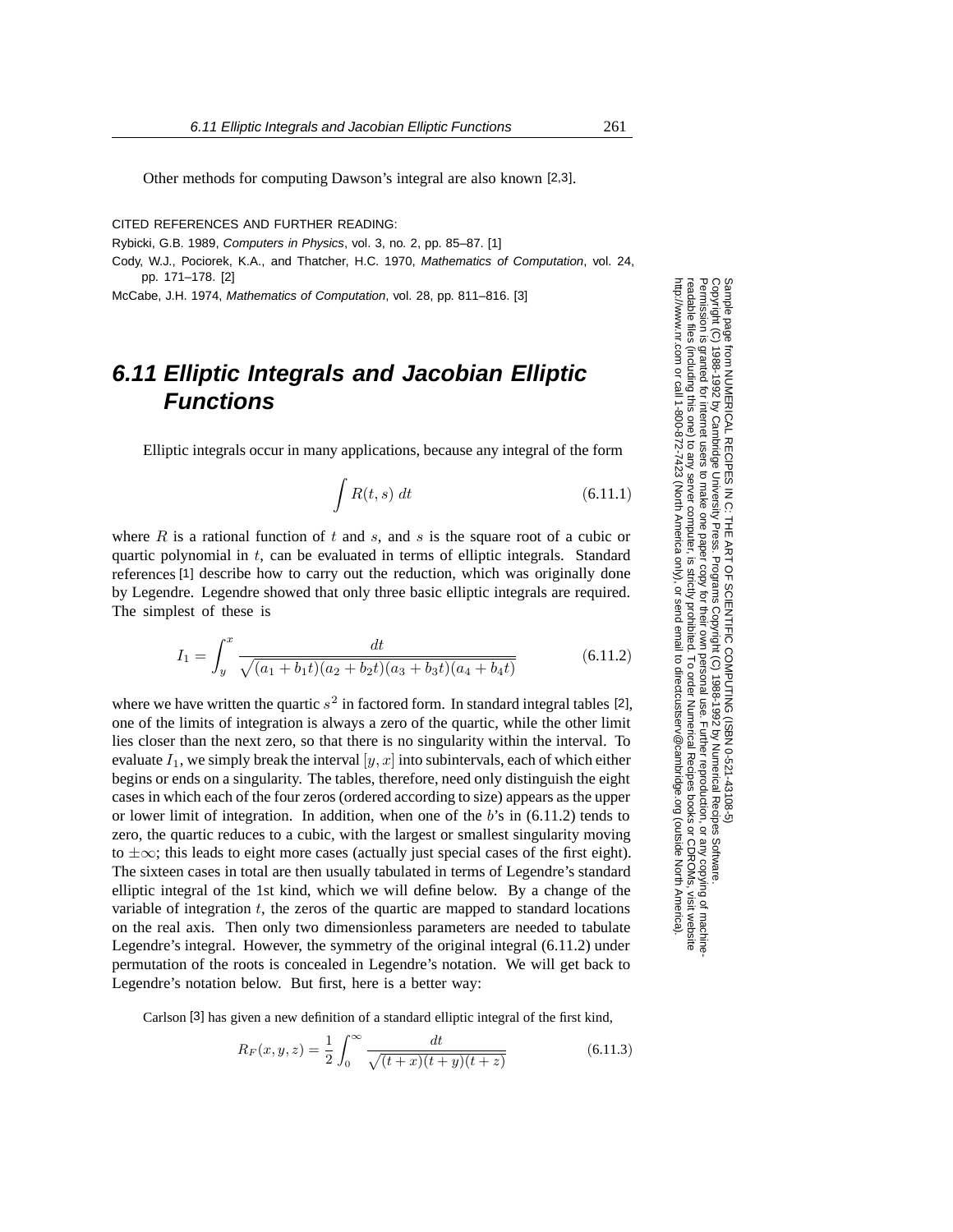Permission is granted for internet users to make one paper copy for their own personal use. Further reproduction, or any copyin

computer, is strictly prohibited. To order Numerical Recipes booksgranted for internet users to make one paper copy for their own personal use. Further reproduction, or any copying of machine.<br>(including this one) to any server computer, is strictly prohibited. To order Numerical Recipes

ttp://www.nr.com or call 1-800-872-7423 (North America only), or send email to directcustserv@cambridge.org (outside North America)

or send email to directcustserv@cambridge.org (outside North America).

Sample page from NUMERICAL RECIPES IN C: THE ART OF SCIENTIFIC COMPUTING (ISBN 0-521-43108-5)<br>Copyright (C) 1988-1992 by Cambridge University Press. Programs Copyright (C) 1988-1992 by Numerical Recipes Software.

Sample page from NUMERICAL RECIPES IN C: THE ART OF SCIENTIFIC COMPUTING (ISBN 0-521-43108-5)

Programs Copyright (C) 1988-1992 by Numerical Recipes Software.

g of machine-

or CDROMs, visit website

Copyright (C) 1988-1992 by Cambridge University Press.

readable files (including this one) to any server

Permission is

readable files (including this one) to any server computer, is strictly prohibited.

http://www.nr.com or call 1-800-872-7423 (North America only),

Other methods for computing Dawson's integral are also known [2,3].

CITED REFERENCES AND FURTHER READING:

Rybicki, G.B. 1989, Computers in Physics, vol. 3, no. 2, pp. 85–87. [1]

Cody, W.J., Pociorek, K.A., and Thatcher, H.C. 1970, Mathematics of Computation, vol. 24, pp. 171–178. [2]

McCabe, J.H. 1974, Mathematics of Computation, vol. 28, pp. 811–816. [3]

## **6.11 Elliptic Integrals and Jacobian Elliptic Functions**

Elliptic integrals occur in many applications, because any integral of the form

$$
\int R(t,s) \, dt \tag{6.11.1}
$$

where R is a rational function of t and s, and s is the square root of a cubic or quartic polynomial in  $t$ , can be evaluated in terms of elliptic integrals. Standard references [1] describe how to carry out the reduction, which was originally done by Legendre. Legendre showed that only three basic elliptic integrals are required. The simplest of these is

$$
I_1 = \int_y^x \frac{dt}{\sqrt{(a_1 + b_1 t)(a_2 + b_2 t)(a_3 + b_3 t)(a_4 + b_4 t)}}
$$
(6.11.2)

where we have written the quartic  $s^2$  in factored form. In standard integral tables [2], one of the limits of integration is always a zero of the quartic, while the other limit lies closer than the next zero, so that there is no singularity within the interval. To evaluate  $I_1$ , we simply break the interval  $[y, x]$  into subintervals, each of which either begins or ends on a singularity. The tables, therefore, need only distinguish the eight cases in which each of the four zeros (ordered according to size) appears as the upper or lower limit of integration. In addition, when one of the  $b$ 's in  $(6.11.2)$  tends to zero, the quartic reduces to a cubic, with the largest or smallest singularity moving to  $\pm \infty$ ; this leads to eight more cases (actually just special cases of the first eight). The sixteen cases in total are then usually tabulated in terms of Legendre's standard elliptic integral of the 1st kind, which we will define below. By a change of the variable of integration  $t$ , the zeros of the quartic are mapped to standard locations on the real axis. Then only two dimensionless parameters are needed to tabulate Legendre's integral. However, the symmetry of the original integral (6.11.2) under permutation of the roots is concealed in Legendre's notation. We will get back to Legendre's notation below. But first, here is a better way:

Carlson [3] has given a new definition of a standard elliptic integral of the first kind,

$$
R_F(x, y, z) = \frac{1}{2} \int_0^\infty \frac{dt}{\sqrt{(t+x)(t+y)(t+z)}}
$$
(6.11.3)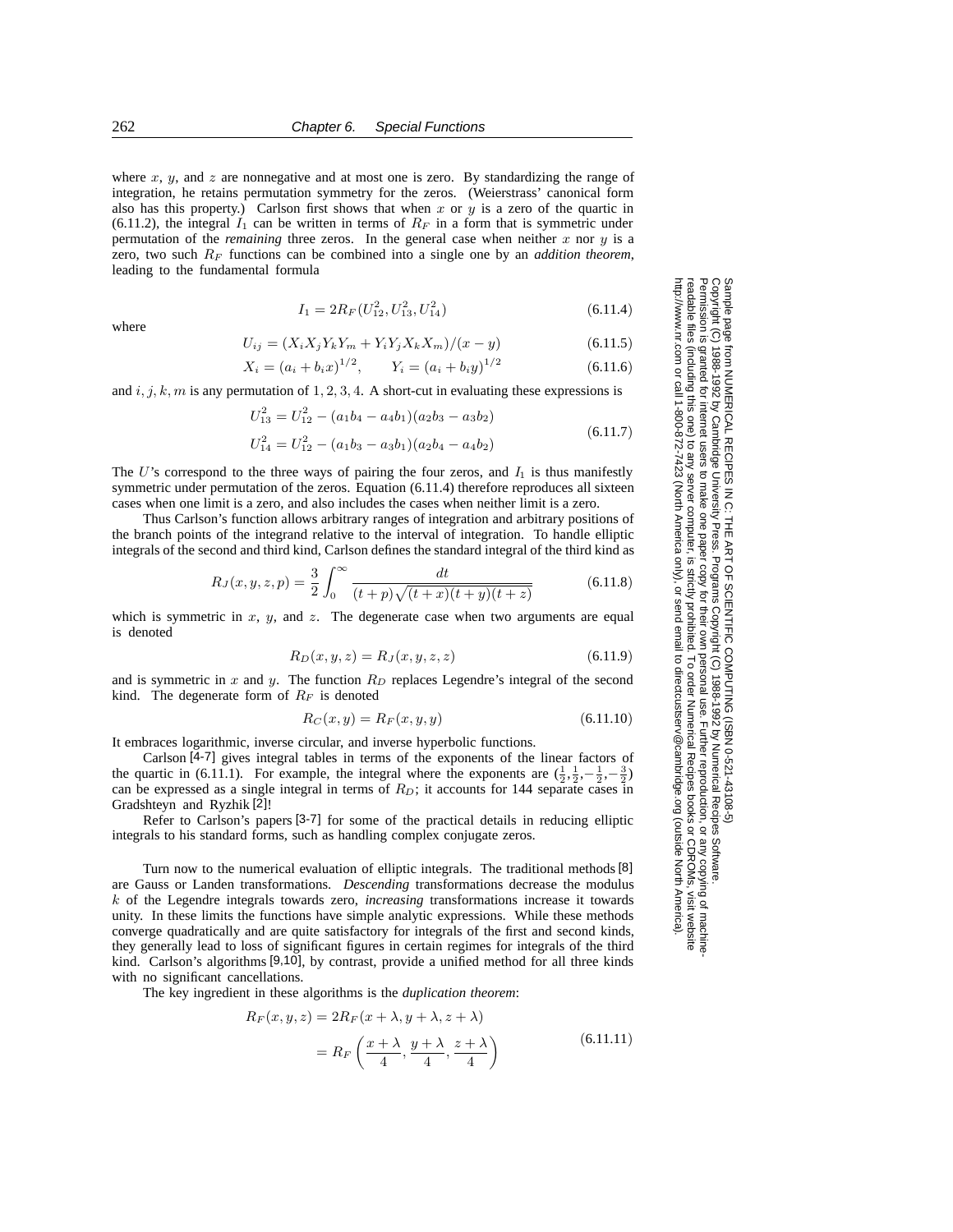where x, y, and z are nonnegative and at most one is zero. By standardizing the range of integration, he retains permutation symmetry for the zeros. (Weierstrass' canonical form also has this property.) Carlson first shows that when x or y is a zero of the quartic in (6.11.2), the integral  $I_1$  can be written in terms of  $R_F$  in a form that is symmetric under permutation of the *remaining* three zeros. In the general case when neither  $x$  nor  $y$  is a zero, two such R*<sup>F</sup>* functions can be combined into a single one by an *addition theorem*, leading to the fundamental formula

$$
I_1 = 2R_F(U_{12}^2, U_{13}^2, U_{14}^2) \tag{6.11.4}
$$

where

$$
U_{ij} = (X_i X_j Y_k Y_m + Y_i Y_j X_k X_m) / (x - y)
$$
\n(6.11.5)

$$
X_i = (a_i + b_i x)^{1/2}, \qquad Y_i = (a_i + b_i y)^{1/2}
$$
\n(6.11.6)

and  $i, j, k, m$  is any permutation of  $1, 2, 3, 4$ . A short-cut in evaluating these expressions is

$$
U_{13}^2 = U_{12}^2 - (a_1b_4 - a_4b_1)(a_2b_3 - a_3b_2)
$$
  
\n
$$
U_{14}^2 = U_{12}^2 - (a_1b_3 - a_3b_1)(a_2b_4 - a_4b_2)
$$
\n(6.11.7)

The U's correspond to the three ways of pairing the four zeros, and  $I_1$  is thus manifestly symmetric under permutation of the zeros. Equation (6.11.4) therefore reproduces all sixteen cases when one limit is a zero, and also includes the cases when neither limit is a zero.

Thus Carlson's function allows arbitrary ranges of integration and arbitrary positions of the branch points of the integrand relative to the interval of integration. To handle elliptic integrals of the second and third kind, Carlson defines the standard integral of the third kind as

$$
R_J(x, y, z, p) = \frac{3}{2} \int_0^\infty \frac{dt}{(t+p)\sqrt{(t+x)(t+y)(t+z)}}\tag{6.11.8}
$$

which is symmetric in  $x$ ,  $y$ , and  $z$ . The degenerate case when two arguments are equal is denoted

$$
R_D(x, y, z) = R_J(x, y, z, z)
$$
\n(6.11.9)

Permission is granted for internet users to make one paper copy for their own personal use. Further reproduction, or any copyin

computer, is strictly prohibited. To order Numerical Recipes books

or send email to directcustserv@cambridge.org (outside North America).

Sample page from NUMERICAL RECIPES IN C: THE ART OF SCIENTIFIC COMPUTING (ISBN 0-521-43108-5)

Programs Copyright (C) 1988-1992 by Numerical Recipes Software.

g of machine-

or CDROMs, visit website

Copyright (C) 1988-1992 by Cambridge University Press.

readable files (including this one) to any server

http://www.nr.com or call 1-800-872-7423 (North America only),

and is symmetric in  $x$  and  $y$ . The function  $R<sub>D</sub>$  replaces Legendre's integral of the second kind. The degenerate form of  $R_F$  is denoted

$$
R_C(x, y) = R_F(x, y, y)
$$
\n(6.11.10)

It embraces logarithmic, inverse circular, and inverse hyperbolic functions.

Carlson [4-7] gives integral tables in terms of the exponents of the linear factors of the quartic in (6.11.1). For example, the integral where the exponents are  $(\frac{1}{2}, \frac{1}{2}, -\frac{1}{2}, -\frac{3}{2})$ can be expressed as a single integral in terms of  $R_D$ ; it accounts for 144 separate cases in Gradshteyn and Ryzhik [2]!

Refer to Carlson's papers [3-7] for some of the practical details in reducing elliptic integrals to his standard forms, such as handling complex conjugate zeros.

Turn now to the numerical evaluation of elliptic integrals. The traditional methods [8] are Gauss or Landen transformations. *Descending* transformations decrease the modulus k of the Legendre integrals towards zero, *increasing* transformations increase it towards unity. In these limits the functions have simple analytic expressions. While these methods converge quadratically and are quite satisfactory for integrals of the first and second kinds, they generally lead to loss of significant figures in certain regimes for integrals of the third kind. Carlson's algorithms [9,10], by contrast, provide a unified method for all three kinds with no significant cancellations.

The key ingredient in these algorithms is the *duplication theorem*:

$$
R_F(x, y, z) = 2R_F(x + \lambda, y + \lambda, z + \lambda)
$$
  
=  $R_F\left(\frac{x + \lambda}{4}, \frac{y + \lambda}{4}, \frac{z + \lambda}{4}\right)$  (6.11.11)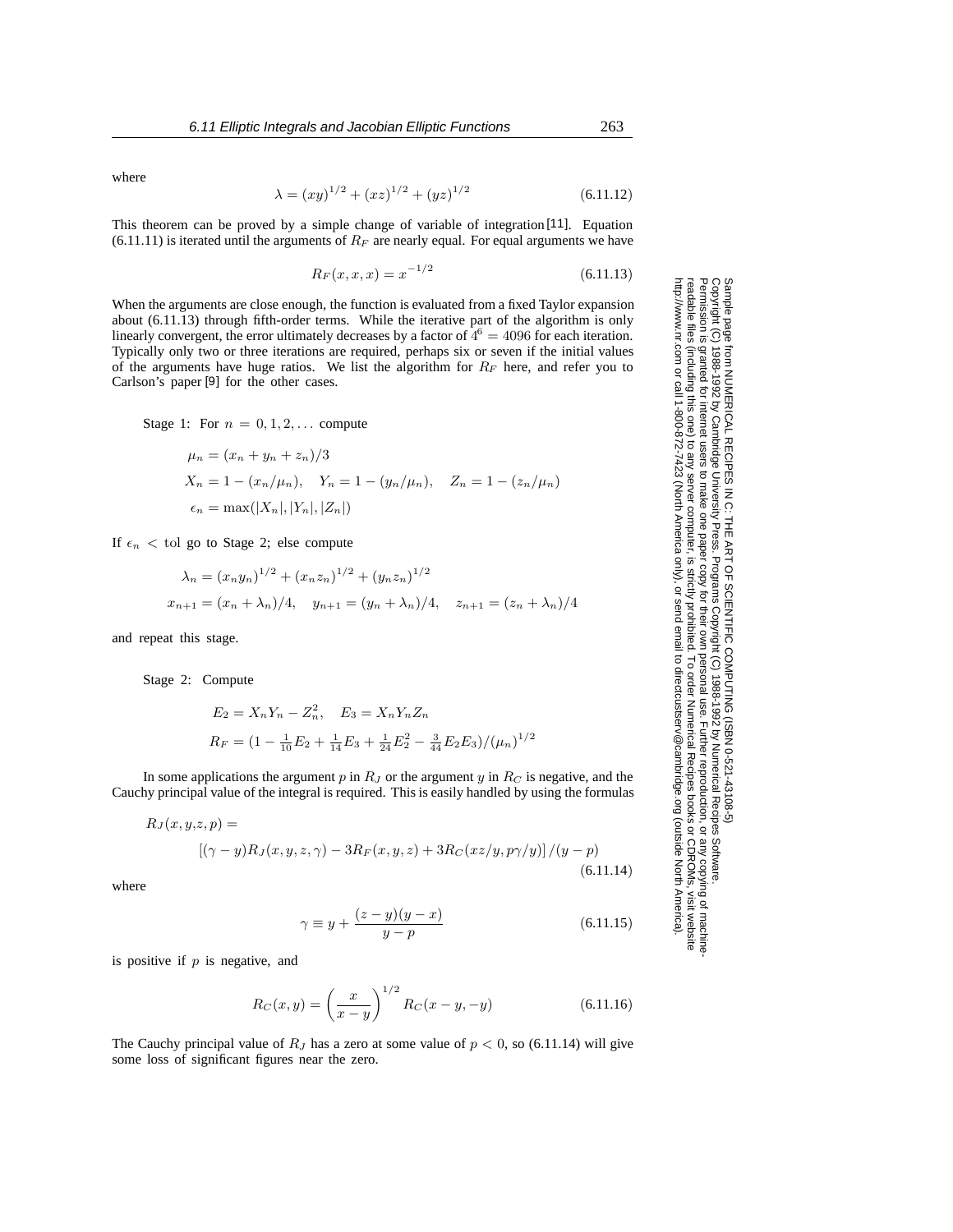where

$$
\lambda = (xy)^{1/2} + (xz)^{1/2} + (yz)^{1/2}
$$
\n(6.11.12)

This theorem can be proved by a simple change of variable of integration [11]. Equation  $(6.11.11)$  is iterated until the arguments of  $R_F$  are nearly equal. For equal arguments we have

$$
R_F(x, x, x) = x^{-1/2} \tag{6.11.13}
$$

When the arguments are close enough, the function is evaluated from a fixed Taylor expansion about (6.11.13) through fifth-order terms. While the iterative part of the algorithm is only linearly convergent, the error ultimately decreases by a factor of  $4^6 = 4096$  for each iteration. Typically only two or three iterations are required, perhaps six or seven if the initial values of the arguments have huge ratios. We list the algorithm for R*<sup>F</sup>* here, and refer you to Carlson's paper [9] for the other cases.

Stage 1: For  $n = 0, 1, 2, \ldots$  compute

$$
\mu_n = (x_n + y_n + z_n)/3
$$
  
\n
$$
X_n = 1 - (x_n/\mu_n), \quad Y_n = 1 - (y_n/\mu_n), \quad Z_n = 1 - (z_n/\mu_n)
$$
  
\n
$$
\epsilon_n = \max(|X_n|, |Y_n|, |Z_n|)
$$

If  $\epsilon_n$  < tol go to Stage 2; else compute

$$
\lambda_n = (x_n y_n)^{1/2} + (x_n z_n)^{1/2} + (y_n z_n)^{1/2}
$$
  

$$
x_{n+1} = (x_n + \lambda_n)/4, \quad y_{n+1} = (y_n + \lambda_n)/4, \quad z_{n+1} = (z_n + \lambda_n)/4
$$

and repeat this stage.

Stage 2: Compute

$$
E_2 = X_n Y_n - Z_n^2, \quad E_3 = X_n Y_n Z_n
$$
  

$$
R_F = (1 - \frac{1}{10} E_2 + \frac{1}{14} E_3 + \frac{1}{24} E_2^2 - \frac{3}{44} E_2 E_3) / (\mu_n)^{1/2}
$$

In some applications the argument  $p$  in  $R_J$  or the argument  $y$  in  $R_C$  is negative, and the Cauchy principal value of the integral is required. This is easily handled by using the formulas

$$
R_J(x, y, z, p) =
$$
  

$$
[(\gamma - y)R_J(x, y, z, \gamma) - 3R_F(x, y, z) + 3R_C(xz/y, p\gamma/y)]/(y - p)
$$
  
(6.11.14)

where

$$
\gamma \equiv y + \frac{(z - y)(y - x)}{y - p} \tag{6.11.15}
$$

is positive if  $p$  is negative, and

$$
R_C(x,y) = \left(\frac{x}{x-y}\right)^{1/2} R_C(x-y, -y)
$$
 (6.11.16)

The Cauchy principal value of  $R_J$  has a zero at some value of  $p < 0$ , so (6.11.14) will give some loss of significant figures near the zero.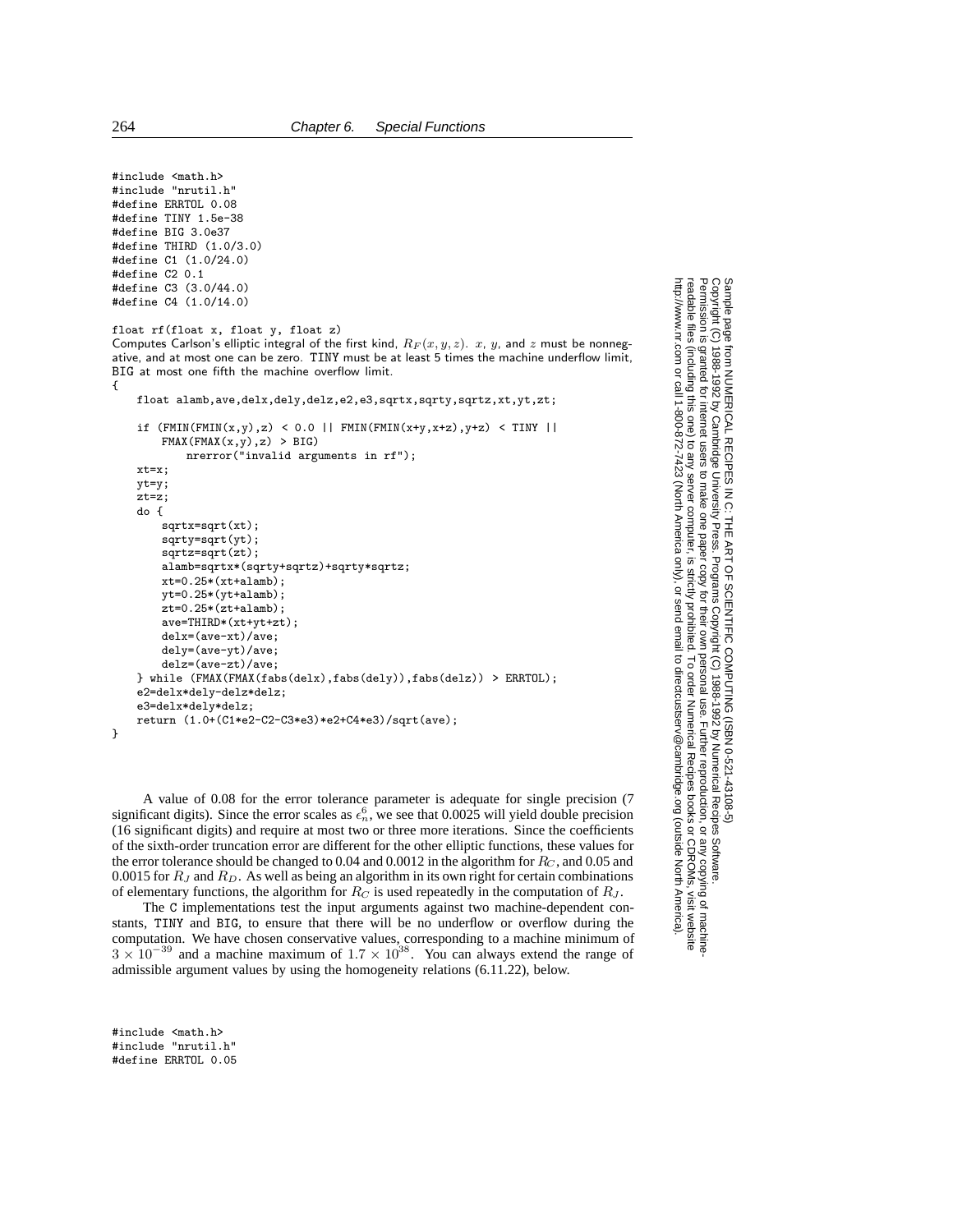```
#include "nrutil.h"
#define ERRTOL 0.08
#define TINY 1.5e-38
#define BIG 3.0e37
#define THIRD (1.0/3.0)
#define C1 (1.0/24.0)
#define C2 0.1
#define C3 (3.0/44.0)
#define C4 (1.0/14.0)
float rf(float x, float y, float z)
Computes Carlson's elliptic integral of the first kind, R_F(x, y, z). x, y, and z must be nonneg-
ative, and at most one can be zero. TINY must be at least 5 times the machine underflow limit,
BIG at most one fifth the machine overflow limit.
{
   float alamb,ave,delx,dely,delz,e2,e3,sqrtx,sqrty,sqrtz,xt,yt,zt;
   if (FMIN(FMIN(x,y),z) < 0.0 || FMIN(FMIN(x+y,x+z),y+z) < TINY ||
       FMAX(FMAX(x,y),z) > BIG)nrerror("invalid arguments in rf");
   xt=x;
   yt=y;
   zt=z;
   do {
        sqrtx=sqrt(xt);
        sqrty=sqrt(yt);
        sqrtz=sqrt(zt);
        alamb=sqrtx*(sqrty+sqrtz)+sqrty*sqrtz;
       xt=0.25*(xt+alam):
       yt=0.25*(yt+alamb);
        zt=0.25*(zt+alamb);
        ave=THIRD*(xt+yt+zt);
       delx=(ave-xt)/ave;
        dely=(ave-yt)/ave;
        delz=(ave-zt)/ave;
    } while (FMAX(FMAX(fabs(delx),fabs(dely)),fabs(delz)) > ERRTOL);
    e2=delx*dely-delz*delz;
    e3=delx*dely*delz;
    return (1.0+(C1*e2-C2-C3*e3)*e2+C4*e3)/sqrt(ave);
}
```
A value of 0.08 for the error tolerance parameter is adequate for single precision (7 significant digits). Since the error scales as  $\epsilon_n^6$ , we see that 0.0025 will yield double precision (16 significant digits) and require at most two or three more iterations. Since the coefficients of the sixth-order truncation error are different for the other elliptic functions, these values for the error tolerance should be changed to 0.04 and 0.0012 in the algorithm for R*<sup>C</sup>* , and 0.05 and 0.0015 for R*<sup>J</sup>* and R*D*. As well as being an algorithm in its own right for certain combinations of elementary functions, the algorithm for  $R_C$  is used repeatedly in the computation of  $R_J$ .

The C implementations test the input arguments against two machine-dependent constants, TINY and BIG, to ensure that there will be no underflow or overflow during the computation. We have chosen conservative values, corresponding to a machine minimum of  $3 \times 10^{-39}$  and a machine maximum of  $1.7 \times 10^{38}$ . You can always extend the range of admissible argument values by using the homogeneity relations (6.11.22), below.

#include <math.h> #include "nrutil.h" #define ERRTOL 0.05

Sample page<br>Copyright (C)<br>Permission is Copyright (C) 1988-1992 by Cambridge University Press.Sample page from NUMERICAL RECIPES IN C: THE ART OF SCIENTIFIC COMPUTING (ISBN 0-521-43108-5) http://www.nr.com or call 1-800-872-7423 (North America only),readable files (including this one) to any serverPermission is granted for internet users to make one paper copy for their own personal use. Further reproduction, or any copyin from NUMERICAL RECIPES IN C: THE ART OF SCIENTIFIC COMPUTING (ISBN 0-521-43108-5)<br>1988-1992 by Cambridge University Press. Programs Copyright (C) 1988-1992 by Numerical Recipes Software.<br>granted for internet users to make computer, is strictly prohibited. To order Numerical Recipes booksPrograms Copyright (C) 1988-1992 by Numerical Recipes Software. or send email to directcustserv@cambridge.org (outside North America). or CDROMs, visit website g of machine-

#include <math.h>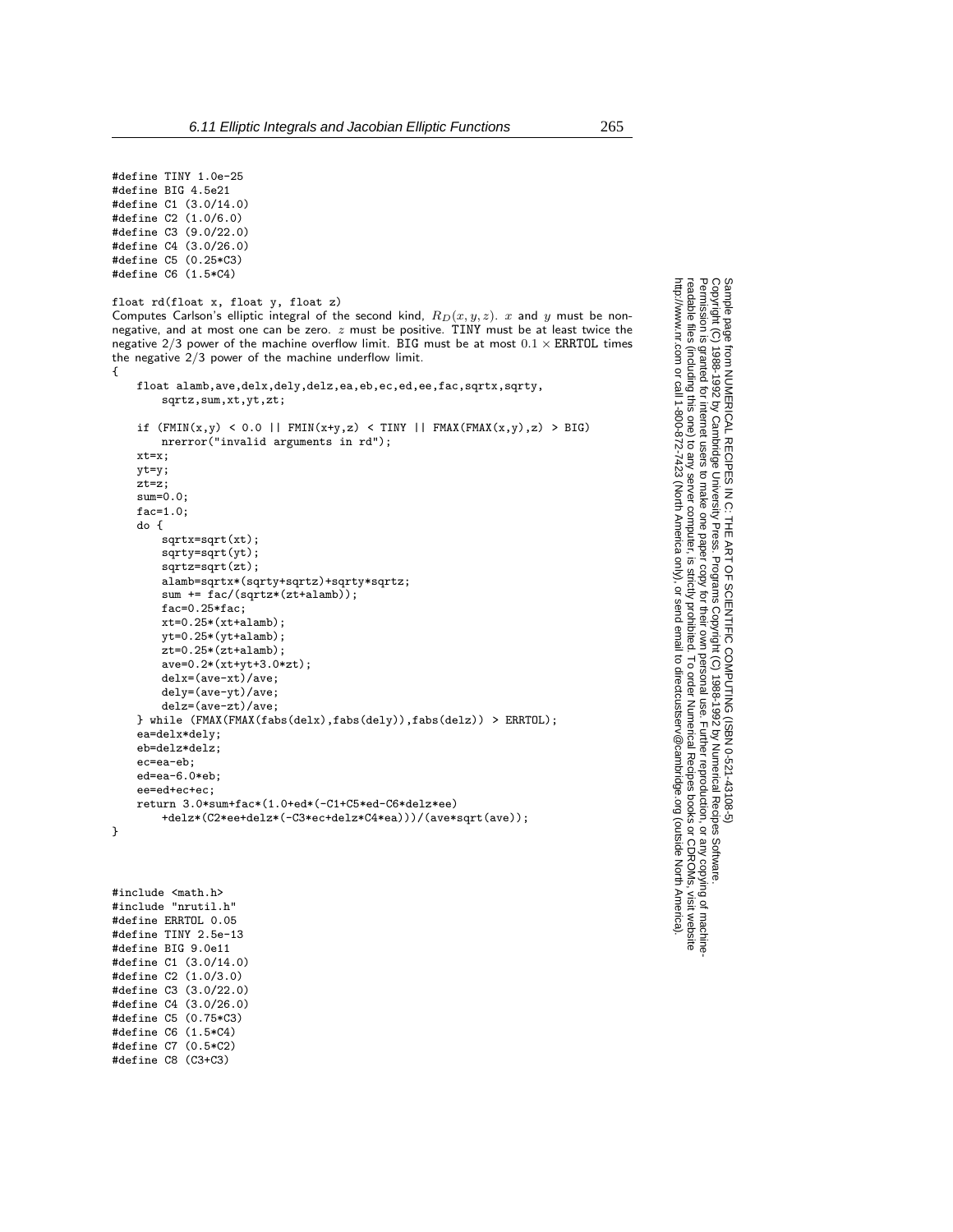#define TINY 1.0e-25 #define BIG 4.5e21 #define C1 (3.0/14.0) #define C2 (1.0/6.0) #define C3 (9.0/22.0) #define C4 (3.0/26.0) #define C5 (0.25\*C3) #define C6 (1.5\*C4)

{

```
float rd(float x, float y, float z)
Computes Carlson's elliptic integral of the second kind, R_D(x, y, z). x and y must be non-
negative, and at most one can be zero. z must be positive. TINY must be at least twice the
negative 2/3 power of the machine overflow limit. BIG must be at most 0.1 \times ERRTOL times
the negative 2/3 power of the machine underflow limit.
```

```
float alamb,ave,delx,dely,delz,ea,eb,ec,ed,ee,fac,sqrtx,sqrty,
       sqrtz,sum,xt,yt,zt;
   if (FMIN(x,y) < 0.0 || FMIN(x+y,z) < TINY || FMAX(FMAX(x,y),z) > BIG)nrerror("invalid arguments in rd");
   xt=x;
   yt=y;
   zt=z;
   sum=0.0;
   fac=1.0;
   do {
       sqrtx=sqrt(xt);
       sqrty=sqrt(yt);
       sqrtz=sqrt(zt);
       alamb=sqrtx*(sqrty+sqrtz)+sqrty*sqrtz;
       sum += fac/(sqrtz*(zt+alamb));
       fac=0.25*fac;
       xt=0.25*(xt+alam),yt=0.25*(yt+alamb);zt=0.25*(zt+alamb);
       ave=0.2*(xt+yt+3.0*zt);
       delx=(ave-xt)/ave;
       dely=(ave-yt)/ave;
       delz=(ave-zt)/ave;
   } while (FMAX(FMAX(fabs(delx),fabs(dely)),fabs(delz)) > ERRTOL);
   ea=delx*dely;
   eb=delz*delz;
   ec=ea-eb;
   ed=ea-6.0*eb;
   ee=ed+ec+ec;
   return 3.0*sum+fac*(1.0+ed*(-C1+C5*ed-C6*delz*ee)
       +delz*(C2*ee+delz*(-C3*ec+delz*C4*ea)))/(ave*sqrt(ave));
}
```
#include <math.h> #include "nrutil.h" #define ERRTOL 0.05 #define TINY 2.5e-13 #define BIG 9.0e11 #define C1 (3.0/14.0) #define C2 (1.0/3.0) #define C3 (3.0/22.0) #define C4 (3.0/26.0) #define C5 (0.75\*C3) #define C6 (1.5\*C4) #define C7 (0.5\*C2) #define C8 (C3+C3)

Sample page 1<br>Copyright (C)<br>Permission is Copyright (C) 1988-1992 by Cambridge University Press.Sample page from NUMERICAL RECIPES IN C: THE ART OF SCIENTIFIC COMPUTING (ISBN 0-521-43108-5) http://www.nr.com or call 1-800-872-7423 (North America only),readable files (including this one) to any serverPermission is granted for internet users to make one paper copy for their own personal use. Further reproduction, or any copyin computer, is strictly prohibited. To order Numerical Recipes booksPrograms Copyright (C) 1988-1992 by Numerical Recipes Software. or send email to directcustserv@cambridge.org (outside North America). or CDROMs, visit website g of machine-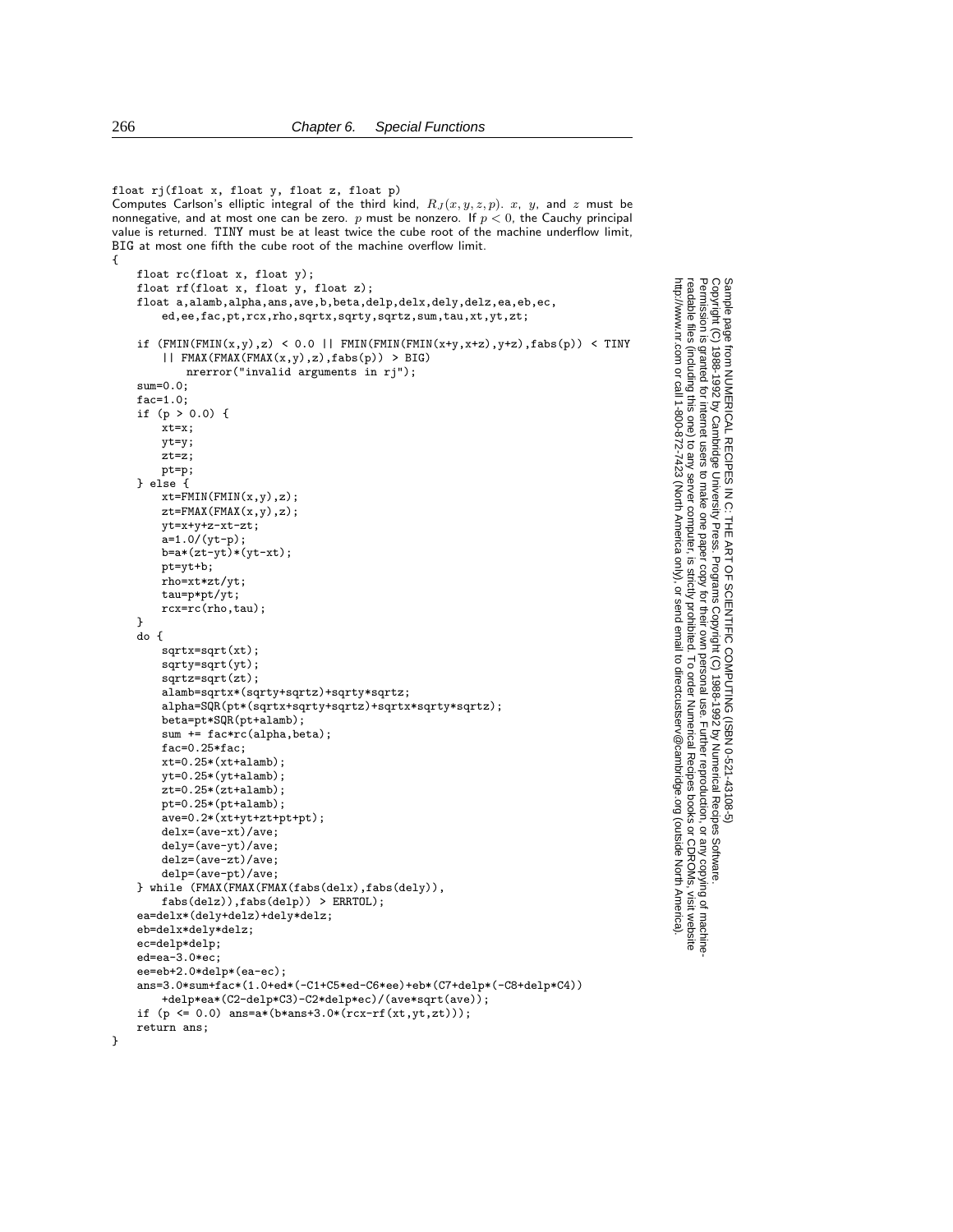```
float rj(float x, float y, float z, float p)
Computes Carlson's elliptic integral of the third kind, R_J(x, y, z, p). x, y, and z must be
nonnegative, and at most one can be zero. p must be nonzero. If p < 0, the Cauchy principal
value is returned. TINY must be at least twice the cube root of the machine underflow limit,
BIG at most one fifth the cube root of the machine overflow limit.
{
    float rc(float x, float y);
    float rf(float x, float y, float z);
    float a,alamb,alpha,ans,ave,b,beta,delp,delx,dely,delz,ea,eb,ec,
        ed,ee,fac,pt,rcx,rho,sqrtx,sqrty,sqrtz,sum,tau,xt,yt,zt;
    if (FMIN(FMIN(x,y),z) < 0.0 || FMIN(FMIN(x+y,x+z),y+z), fabs(p)) < TINY|| FMAX(FMAX(FMAX(x,y),z),fabs(p)) > BIG)
            nrerror("invalid arguments in rj");
    sum=0.0;
   fac=1.0;
    if (p > 0.0) {
        xt=x;yt=y;
        zt=z;
        pt=p;
    } else {
        xt = FMIN(FMIN(x,y),z);zt=FMAX(FMAX(x,y),z);
        yt=x+y+z-xt-zt;
        a=1.0/(yt-p);b=a*(zt-yt)*(yt-xt);pt=yt+b;
        rho=xt*zt/yt;
        tau=p*pt/yt;
        rcx=rc(rho,tau);
    }
    do {
        sqrtx=sqrt(xt);
        sqrty=sqrt(yt);
        sqrtz=sqrt(zt);
        alamb=sqrtx*(sqrty+sqrtz)+sqrty*sqrtz;
        alpha=SQR(pt*(sqrtx+sqrty+sqrtz)+sqrtx*sqrty*sqrtz);
        beta=pt*SQR(pt+alamb);
        sum += fac*rc(alpha,beta);
        fac=0.25*fac;
        xt=0.25*(xt+alamb);
        yt=0.25*(yt+alamb);
        zt=0.25*(zt+alamb);pt=0.25*(pt+alamb);
        ave=0.2*(xt+yt+zt+pt+pt);delx=(ave-xt)/ave;
        dely=(ave-yt)/ave;
        delz=(ave-zt)/ave;
        delp=(ave-pt)/ave;
    } while (FMAX(FMAX(FMAX(fabs(delx),fabs(dely)),
        \texttt{fabs}(\texttt{delay})\texttt{, } \texttt{fabs}(\texttt{delay})\texttt{)} \texttt{ } > \texttt{ERRTOL}\texttt{;}ea=delx*(dely+delz)+dely*delz;
    eb=delx*dely*delz;
    ec=delp*delp;
    ed=ea-3.0*ec;
    ee=eb+2.0*delp*(ea-ec);
    ans=3.0*sum+fac*(1.0+ed*(-C1+C5*ed-C6*ee)+eb*(C7+delp*(-C8+delp*C4))
        +delp*ea*(C2-delp*C3)-C2*delp*ec)/(ave*sqrt(ave));
    if (p \le 0.0) ans=a*(b*ans+3.0*(rcx-rf(xt,yt,zt)));
    return ans;
```
Permission is granted for internet users to make one paper copy for their own personal use. Further reproduction, or any copyin

computer, is strictly prohibited. To order Numerical Recipes books

or send email to directcustserv@cambridge.org (outside North America).

Sample page from NUMERICAL RECIPES IN C: THE ART OF SCIENTIFIC COMPUTING (ISBN 0-521-43108-5)

Programs Copyright (C) 1988-1992 by Numerical Recipes Software.

g of machine-

or CDROMs, visit website

Copyright (C) 1988-1992 by Cambridge University Press.

readable files (including this one) to any server

http://www.nr.com or call 1-800-872-7423 (North America only),

}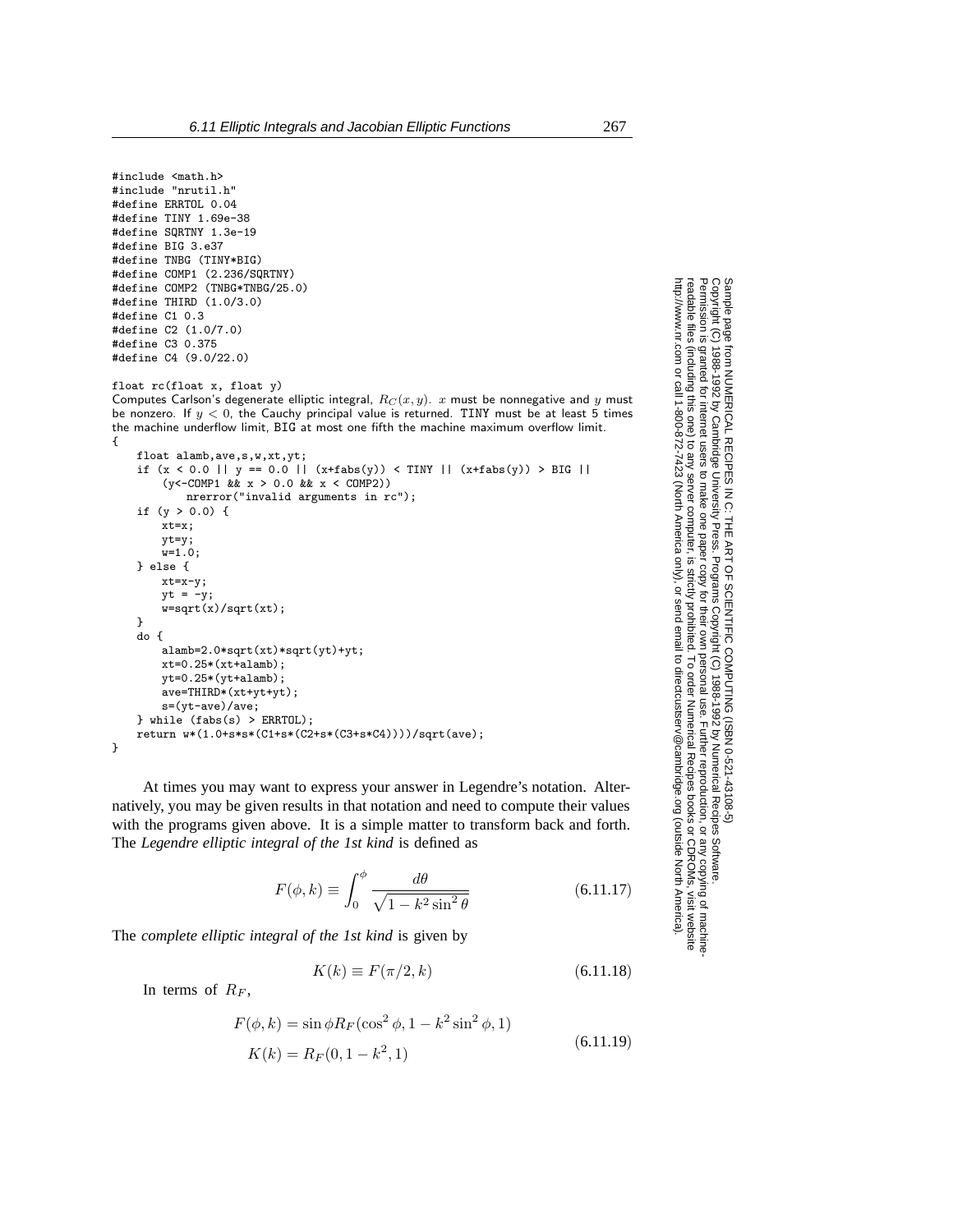```
#include <math.h>
#include "nrutil.h"
#define ERRTOL 0.04
#define TINY 1.69e-38
#define SQRTNY 1.3e-19
#define BIG 3.e37
#define TNBG (TINY*BIG)
#define COMP1 (2.236/SQRTNY)
#define COMP2 (TNBG*TNBG/25.0)
#define THIRD (1.0/3.0)
#define C1 0.3
#define C2 (1.0/7.0)
#define C3 0.375
#define C4 (9.0/22.0)
```
float rc(float x, float y)

Computes Carlson's degenerate elliptic integral,  $R_C(x, y)$ . x must be nonnegative and y must be nonzero. If  $y < 0$ , the Cauchy principal value is returned. TINY must be at least 5 times the machine underflow limit, BIG at most one fifth the machine maximum overflow limit. {

```
float alamb,ave,s,w,xt,yt;
if (x < 0.0 || y == 0.0 || (x + fabs(y)) < TINY || (x + fabs(y)) > BIG ||
    (y<-COMP1 && x > 0.0 && x < COMP2))
       nrerror("invalid arguments in rc");
if (y > 0.0) {
    xt=x;
   y<sup>t=y;</sup>
    w=1.0:
} else {
   xt=x-y;yt = -y;w=sqrt(x)/sqrt(xt);
}
do {
    alamb=2.0*sqrt(xt)*sqrt(yt)+yt;
   xt=0.25*(xt+alam),yt=0.25*(yt+alamb);ave=THIRD*(xt+yt+yt);
   s=(yt-ave)/ave;
} while (fabs(s) > ERRTOL);
return w*(1.0+s*s*(C1+s*(C2+s*(C3+s*C4))))/sqrt(ave);
```
At times you may want to express your answer in Legendre's notation. Alternatively, you may be given results in that notation and need to compute their values with the programs given above. It is a simple matter to transform back and forth. The *Legendre elliptic integral of the 1st kind* is defined as

$$
F(\phi, k) \equiv \int_0^{\phi} \frac{d\theta}{\sqrt{1 - k^2 \sin^2 \theta}}
$$
(6.11.17)

The *complete elliptic integral of the 1st kind* is given by

$$
K(k) \equiv F(\pi/2, k) \tag{6.11.18}
$$

In terms of  $R_F$ ,

}

$$
F(\phi, k) = \sin \phi R_F(\cos^2 \phi, 1 - k^2 \sin^2 \phi, 1)
$$
  

$$
K(k) = R_F(0, 1 - k^2, 1)
$$
 (6.11.19)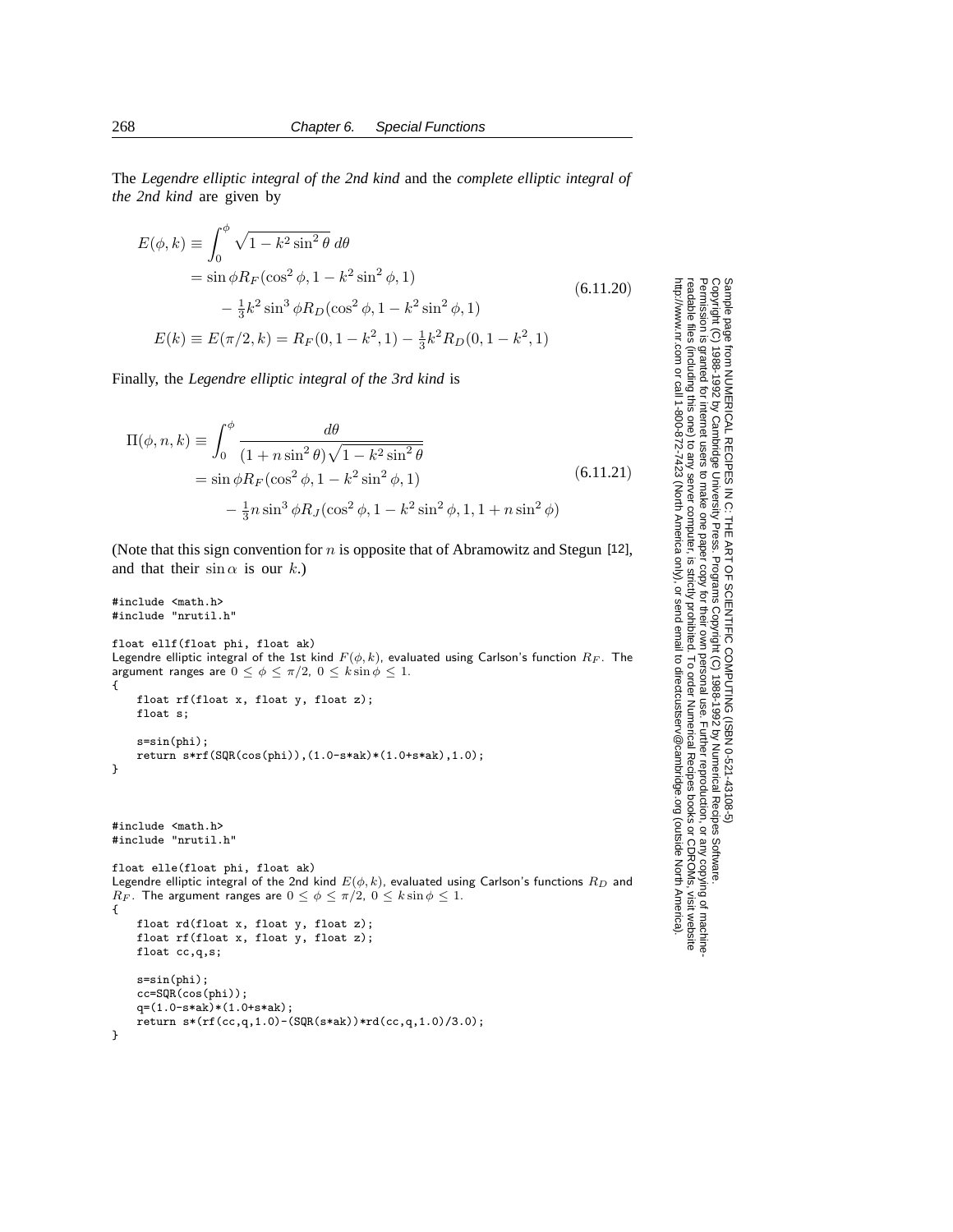The *Legendre elliptic integral of the 2nd kind* and the *complete elliptic integral of the 2nd kind* are given by

$$
E(\phi, k) \equiv \int_0^{\phi} \sqrt{1 - k^2 \sin^2 \theta} \, d\theta
$$
  
=  $\sin \phi R_F (\cos^2 \phi, 1 - k^2 \sin^2 \phi, 1)$   
 $-\frac{1}{3} k^2 \sin^3 \phi R_D (\cos^2 \phi, 1 - k^2 \sin^2 \phi, 1)$   
 $E(k) \equiv E(\pi/2, k) = R_F(0, 1 - k^2, 1) - \frac{1}{3} k^2 R_D(0, 1 - k^2, 1)$  (6.11.20)

Finally, the *Legendre elliptic integral of the 3rd kind* is

$$
\Pi(\phi, n, k) \equiv \int_0^{\phi} \frac{d\theta}{(1 + n\sin^2\theta)\sqrt{1 - k^2\sin^2\theta}} \n= \sin\phi R_F(\cos^2\phi, 1 - k^2\sin^2\phi, 1) \n- \frac{1}{3}n\sin^3\phi R_J(\cos^2\phi, 1 - k^2\sin^2\phi, 1, 1 + n\sin^2\phi)
$$
\n(6.11.21)

(Note that this sign convention for  $n$  is opposite that of Abramowitz and Stegun [12], and that their  $\sin \alpha$  is our k.)

```
#include <math.h>
#include "nrutil.h"
float ellf(float phi, float ak)
Legendre elliptic integral of the 1st kind F(\phi, k), evaluated using Carlson's function R_F. The
argument ranges are 0 \le \phi \le \pi/2, 0 \le k \sin \phi \le 1.
{
    float rf(float x, float y, float z);
    float s;
    s=sin(phi);
    return s*rf(SQR(cos(phi)),(1.0-s*ak)*(1.0+s*ak),1.0);
}
#include <math.h>
#include "nrutil.h"
float elle(float phi, float ak)
Legendre elliptic integral of the 2nd kind E(\phi, k), evaluated using Carlson's functions R_D and
R_F. The argument ranges are 0 \le \phi \le \pi/2, 0 \le k \sin \phi \le 1.
{
    float rd(float x, float y, float z);
    float rf(float x, float y, float z);
    float cc,q,s;
    s=sin(phi);
    cc=SQR(cos(phi));
    q=(1.0-s*ak)*(1.0+s*ak);
    return s*(rf(cc,q,1.0)-(SQR(s*ak))*rd(cc,q,1.0)/3.0);
}
```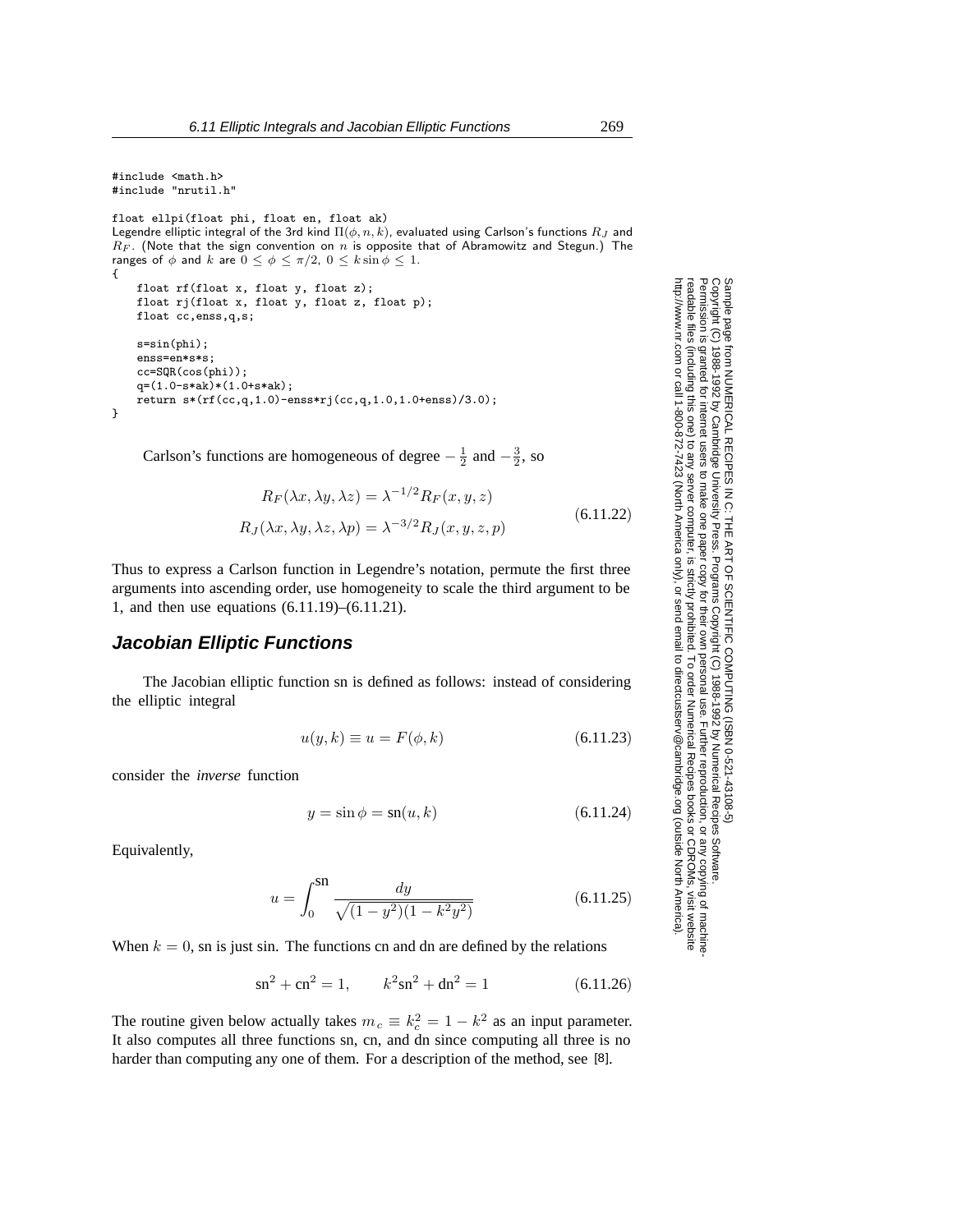```
#include <math.h>
#include "nrutil.h"
float ellpi(float phi, float en, float ak)
Legendre elliptic integral of the 3rd kind \Pi(\phi, n, k), evaluated using Carlson's functions R_J and
R_F. (Note that the sign convention on n is opposite that of Abramowitz and Stegun.) The
ranges of \phi and k are 0 \le \phi \le \pi/2, 0 \le k \sin \phi \le 1.
{
    float rf(float x, float y, float z);
    float rj(float x, float y, float z, float p);
    float cc,enss,q,s;
    s=sin(phi);
    enss=en*s*s;
    cc=SQR(cos(phi));
    q=(1.0-s*ak)*(1.0+s*ak);
    return s*(rf(cc,q,1.0)-ens*rj(cc,q,1.0,1.0+enss)/3.0);}
```
Carlson's functions are homogeneous of degree  $-\frac{1}{2}$  and  $-\frac{3}{2}$ , so

$$
R_F(\lambda x, \lambda y, \lambda z) = \lambda^{-1/2} R_F(x, y, z)
$$
  
\n
$$
R_J(\lambda x, \lambda y, \lambda z, \lambda p) = \lambda^{-3/2} R_J(x, y, z, p)
$$
\n(6.11.22)

Thus to express a Carlson function in Legendre's notation, permute the first three arguments into ascending order, use homogeneity to scale the third argument to be 1, and then use equations (6.11.19)–(6.11.21).

## **Jacobian Elliptic Functions**

The Jacobian elliptic function sn is defined as follows: instead of considering the elliptic integral

$$
u(y,k) \equiv u = F(\phi, k) \tag{6.11.23}
$$

consider the *inverse* function

$$
y = \sin \phi = \operatorname{sn}(u, k) \tag{6.11.24}
$$

Equivalently,

$$
u = \int_0^{S1} \frac{dy}{\sqrt{(1 - y^2)(1 - k^2 y^2)}}
$$
(6.11.25)

When  $k = 0$ , sn is just sin. The functions cn and dn are defined by the relations

$$
sn2 + cn2 = 1, \t k2 sn2 + dn2 = 1 \t (6.11.26)
$$

The routine given below actually takes  $m_c \equiv k_c^2 = 1 - k^2$  as an input parameter. It also computes all three functions sn, cn, and dn since computing all three is no harder than computing any one of them. For a description of the method, see [8].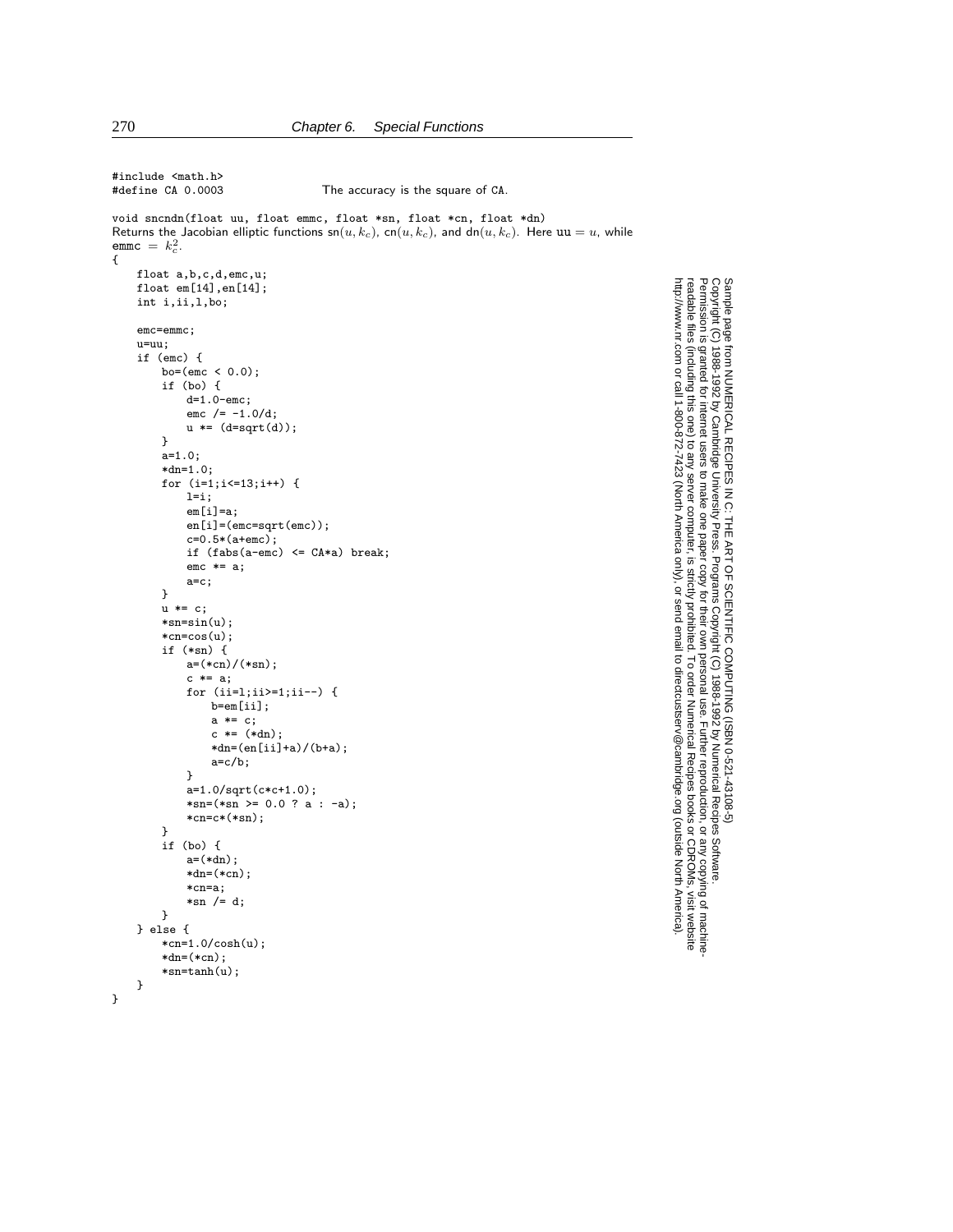```
#include <math.h><br>#define CA 0.0003
                                   The accuracy is the square of CA.
void sncndn(float uu, float emmc, float *sn, float *cn, float *dn)
Returns the Jacobian elliptic functions sn(u, k_c), cn(u, k_c), and dn(u, k_c). Here uu = u, while
\texttt{emmc} = k_c^2.
{
    float a,b,c,d,emc,u;
    float em[14], en[14];
    int i,ii,l,bo;
    emc=emmc;
    u=uu;
    if (emc) {
        bo=(emc < 0.0);if (bo) {
            d=1.0-emc;
            emc /= -1.0/d;u * = (d = sqrt(d));}
        a=1.0;
        *dn=1.0;
        for (i=1;i<=13;i++) {
            l=1;em[i]=a;en[i]=(emc=sqrt(emc));
            c=0.5*(a+emc);if (fabs(a-emc) \leq CA*a) break;
            enc \equiv a;a=c;
        }
        u * = c;*sn=sin(u);
        *cn=cos(u);
        if (*sn) {
            a=(*cn)/(*sn);
            c * = a;for (ii=l;ii>=1;ii--) {
                b=em[ii];
                a *= c;
                c *= (*dn);
                *dn = (en[i] + a) / (b + a);a=c/b;
            }
            a=1.0/sqrt(c*c+1.0);
            *sn=(*sn \ge 0.0 ? a : -a);*cn=c*(*sn);
        }
        if (bo) {
            a=(*dn):
            *dn=(*cn);*cn=a;
            *sn /= d;
        }
    } else {
        *cn=1.0/cosh(u);
        *dn=(*cn);*sn=tanh(u);
    }
}
```
Permission is granted for internet users to make one paper copy for their own personal use. Further reproduction, or any copyin

computer, is strictly prohibited. To order Numerical Recipes books

or send email to directcustserv@cambridge.org (outside North America).

Sample page from NUMERICAL RECIPES IN C: THE ART OF SCIENTIFIC COMPUTING (ISBN 0-521-43108-5)

Programs Copyright (C) 1988-1992 by Numerical Recipes Software.

g of machine-

or CDROMs, visit website

Copyright (C) 1988-1992 by Cambridge University Press.

readable files (including this one) to any server

http://www.nr.com or call 1-800-872-7423 (North America only),